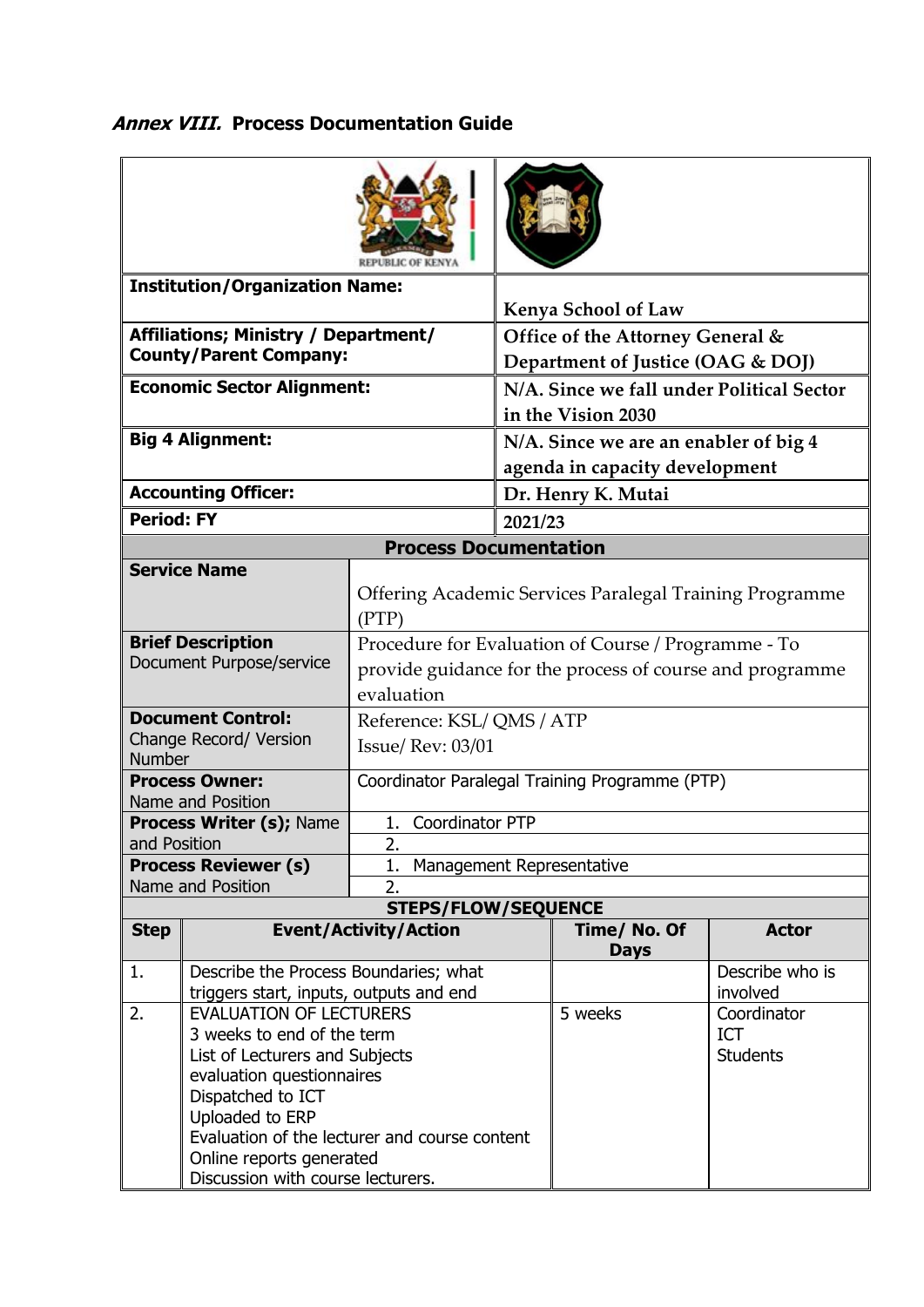## **Annex VIII. Process Documentation Guide**

| <b>Institution/Organization Name:</b>                                 |                                                                                                                                                                                                                      |                                                                                                                               | <b>Kenya School of Law</b>                                              |              |                                              |  |  |  |
|-----------------------------------------------------------------------|----------------------------------------------------------------------------------------------------------------------------------------------------------------------------------------------------------------------|-------------------------------------------------------------------------------------------------------------------------------|-------------------------------------------------------------------------|--------------|----------------------------------------------|--|--|--|
| Affiliations; Ministry / Department/<br><b>County/Parent Company:</b> |                                                                                                                                                                                                                      |                                                                                                                               | Office of the Attorney General &<br>Department of Justice (OAG & DOJ)   |              |                                              |  |  |  |
| <b>Economic Sector Alignment:</b>                                     |                                                                                                                                                                                                                      |                                                                                                                               | N/A. Since we fall under Political Sector<br>in the Vision 2030         |              |                                              |  |  |  |
| <b>Big 4 Alignment:</b>                                               |                                                                                                                                                                                                                      |                                                                                                                               | N/A. Since we are an enabler of big 4<br>agenda in capacity development |              |                                              |  |  |  |
| <b>Accounting Officer:</b>                                            |                                                                                                                                                                                                                      |                                                                                                                               | Dr. Henry K. Mutai                                                      |              |                                              |  |  |  |
| <b>Period: FY</b>                                                     |                                                                                                                                                                                                                      |                                                                                                                               | 2021/23                                                                 |              |                                              |  |  |  |
| <b>Process Documentation</b>                                          |                                                                                                                                                                                                                      |                                                                                                                               |                                                                         |              |                                              |  |  |  |
|                                                                       | <b>Service Name</b>                                                                                                                                                                                                  | Offering Academic Services Paralegal Training Programme<br>(PTP)                                                              |                                                                         |              |                                              |  |  |  |
| <b>Brief Description</b><br>Document Purpose/service                  |                                                                                                                                                                                                                      | Procedure for Evaluation of Course / Programme - To<br>provide guidance for the process of course and programme<br>evaluation |                                                                         |              |                                              |  |  |  |
| <b>Document Control:</b><br>Change Record/ Version<br><b>Number</b>   |                                                                                                                                                                                                                      | Reference: KSL/QMS/ATP<br><b>Issue/ Rev: 03/01</b>                                                                            |                                                                         |              |                                              |  |  |  |
| <b>Process Owner:</b><br>Name and Position                            |                                                                                                                                                                                                                      | Coordinator Paralegal Training Programme (PTP)                                                                                |                                                                         |              |                                              |  |  |  |
| <b>Process Writer (s); Name</b>                                       |                                                                                                                                                                                                                      | <b>Coordinator PTP</b><br>1.                                                                                                  |                                                                         |              |                                              |  |  |  |
| and Position                                                          |                                                                                                                                                                                                                      | $\overline{2}$                                                                                                                |                                                                         |              |                                              |  |  |  |
|                                                                       | <b>Process Reviewer (s)</b>                                                                                                                                                                                          | 1. Management Representative                                                                                                  |                                                                         |              |                                              |  |  |  |
|                                                                       | Name and Position                                                                                                                                                                                                    | $\overline{2}$ .                                                                                                              |                                                                         |              |                                              |  |  |  |
| <b>Step</b>                                                           |                                                                                                                                                                                                                      | <b>STEPS/FLOW/SEQUENCE</b>                                                                                                    |                                                                         | Time/ No. Of | <b>Actor</b>                                 |  |  |  |
|                                                                       | <b>Event/Activity/Action</b>                                                                                                                                                                                         |                                                                                                                               |                                                                         | <b>Days</b>  |                                              |  |  |  |
| 1.                                                                    | Describe the Process Boundaries; what<br>triggers start, inputs, outputs and end                                                                                                                                     |                                                                                                                               |                                                                         |              | Describe who is<br>involved                  |  |  |  |
| 2.                                                                    | <b>EVALUATION OF LECTURERS</b><br>3 weeks to end of the term<br>List of Lecturers and Subjects<br>evaluation questionnaires<br>Dispatched to ICT<br>Uploaded to ERP<br>Evaluation of the lecturer and course content |                                                                                                                               |                                                                         | 5 weeks      | Coordinator<br><b>ICT</b><br><b>Students</b> |  |  |  |
|                                                                       | Online reports generated<br>Discussion with course lecturers.                                                                                                                                                        |                                                                                                                               |                                                                         |              |                                              |  |  |  |